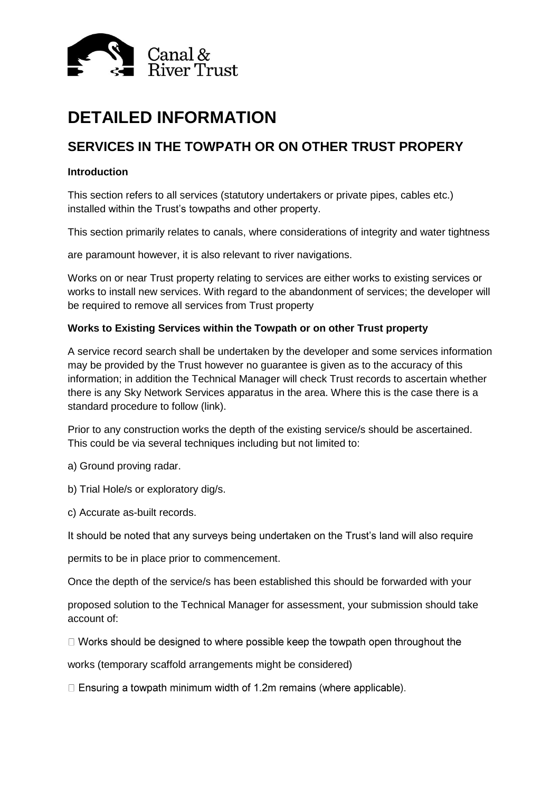

# **DETAILED INFORMATION**

## **SERVICES IN THE TOWPATH OR ON OTHER TRUST PROPERY**

### **Introduction**

This section refers to all services (statutory undertakers or private pipes, cables etc.) installed within the Trust's towpaths and other property.

This section primarily relates to canals, where considerations of integrity and water tightness

are paramount however, it is also relevant to river navigations.

Works on or near Trust property relating to services are either works to existing services or works to install new services. With regard to the abandonment of services; the developer will be required to remove all services from Trust property

### **Works to Existing Services within the Towpath or on other Trust property**

A service record search shall be undertaken by the developer and some services information may be provided by the Trust however no guarantee is given as to the accuracy of this information; in addition the Technical Manager will check Trust records to ascertain whether there is any Sky Network Services apparatus in the area. Where this is the case there is a standard procedure to follow (link).

Prior to any construction works the depth of the existing service/s should be ascertained. This could be via several techniques including but not limited to:

a) Ground proving radar.

b) Trial Hole/s or exploratory dig/s.

c) Accurate as-built records.

It should be noted that any surveys being undertaken on the Trust's land will also require

permits to be in place prior to commencement.

Once the depth of the service/s has been established this should be forwarded with your

proposed solution to the Technical Manager for assessment, your submission should take account of:

 $\Box$  Works should be designed to where possible keep the towpath open throughout the

works (temporary scaffold arrangements might be considered)

 $\Box$  Ensuring a towpath minimum width of 1.2m remains (where applicable).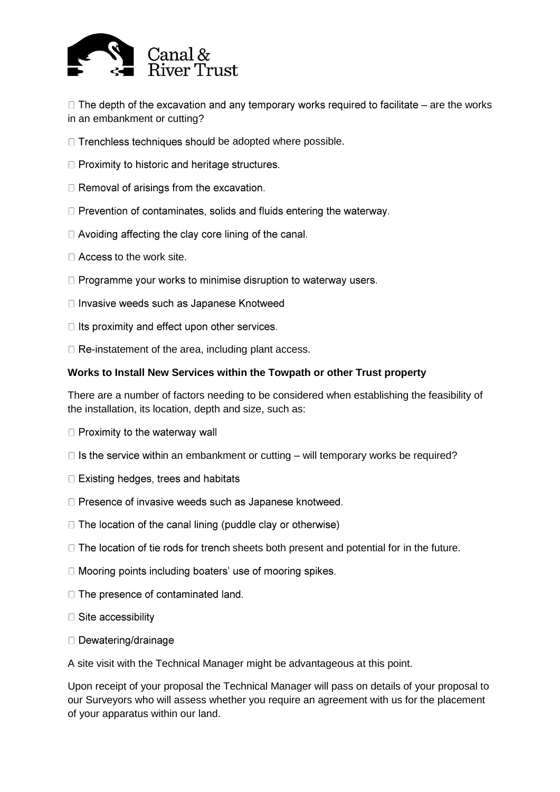

 $\Box$  The depth of the excavation and any temporary works required to facilitate – are the works in an embankment or cutting?

- $\Box$  Trenchless techniques should be adopted where possible.
- $\Box$  Proximity to historic and heritage structures.
- $\Box$  Removal of arisings from the excavation.
- $\Box$  Prevention of contaminates, solids and fluids entering the waterway.
- $\Box$  Avoiding affecting the clay core lining of the canal.
- $\Box$  Access to the work site.
- $\Box$  Programme your works to minimise disruption to waterway users.
- □ Invasive weeds such as Japanese Knotweed
- $\Box$  Its proximity and effect upon other services.
- $\Box$  Re-instatement of the area, including plant access.

### **Works to Install New Services within the Towpath or other Trust property**

There are a number of factors needing to be considered when establishing the feasibility of the installation, its location, depth and size, such as:

- $\Box$  Proximity to the waterway wall
- $\Box$  is the service within an embankment or cutting will temporary works be required?
- $\Box$  Existing hedges, trees and habitats
- □ Presence of invasive weeds such as Japanese knotweed.
- $\Box$  The location of the canal lining (puddle clay or otherwise)
- $\Box$  The location of tie rods for trench sheets both present and potential for in the future.
- □ Mooring points including boaters' use of mooring spikes.
- $\Box$  The presence of contaminated land.
- $\Box$  Site accessibility
- $\Box$  Dewatering/drainage

A site visit with the Technical Manager might be advantageous at this point.

Upon receipt of your proposal the Technical Manager will pass on details of your proposal to our Surveyors who will assess whether you require an agreement with us for the placement of your apparatus within our land.